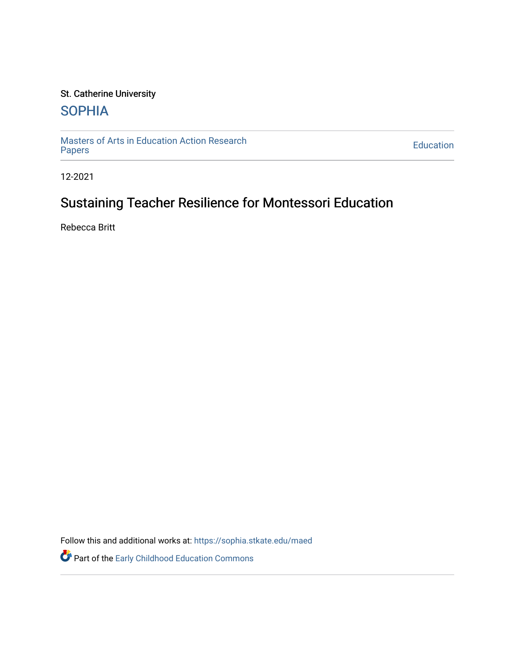## St. Catherine University

## **SOPHIA**

[Masters of Arts in Education Action Research](https://sophia.stkate.edu/maed) [Papers](https://sophia.stkate.edu/maed) [Education](https://sophia.stkate.edu/ed) 

12-2021

# Sustaining Teacher Resilience for Montessori Education

Rebecca Britt

Follow this and additional works at: [https://sophia.stkate.edu/maed](https://sophia.stkate.edu/maed?utm_source=sophia.stkate.edu%2Fmaed%2F435&utm_medium=PDF&utm_campaign=PDFCoverPages) 

Part of the [Early Childhood Education Commons](http://network.bepress.com/hgg/discipline/1377?utm_source=sophia.stkate.edu%2Fmaed%2F435&utm_medium=PDF&utm_campaign=PDFCoverPages)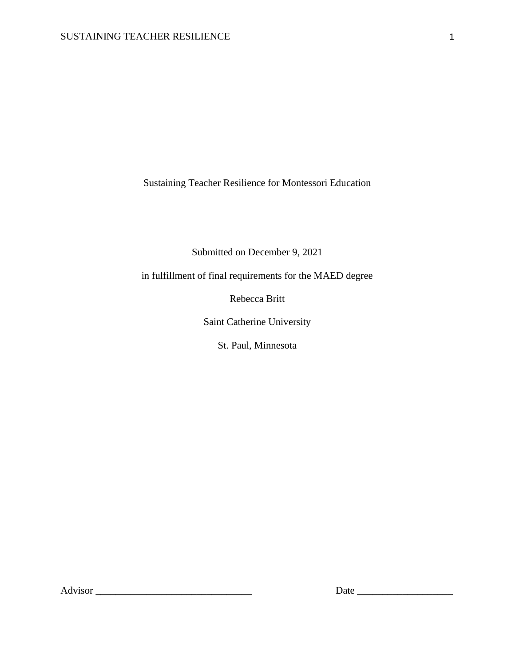Sustaining Teacher Resilience for Montessori Education

Submitted on December 9, 2021

in fulfillment of final requirements for the MAED degree

Rebecca Britt

Saint Catherine University

St. Paul, Minnesota

Advisor **\_\_\_\_\_\_\_\_\_\_\_\_\_\_\_\_\_\_\_\_\_\_\_\_\_\_\_\_\_\_\_** Date **\_\_\_\_\_\_\_\_\_\_\_\_\_\_\_\_\_\_\_**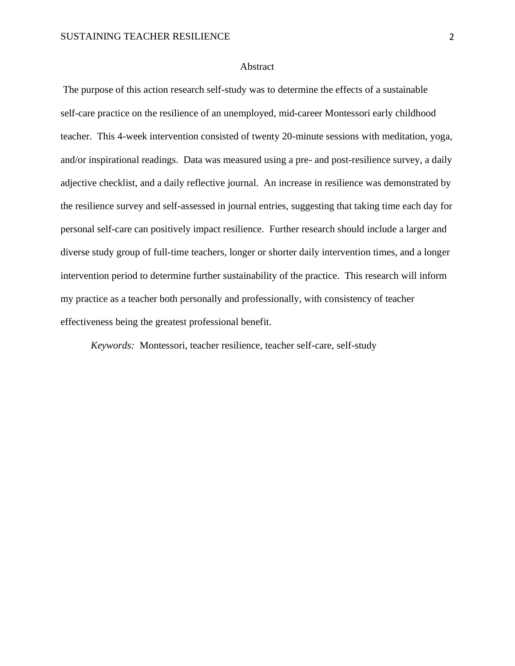#### Abstract

The purpose of this action research self-study was to determine the effects of a sustainable self-care practice on the resilience of an unemployed, mid-career Montessori early childhood teacher. This 4-week intervention consisted of twenty 20-minute sessions with meditation, yoga, and/or inspirational readings. Data was measured using a pre- and post-resilience survey, a daily adjective checklist, and a daily reflective journal. An increase in resilience was demonstrated by the resilience survey and self-assessed in journal entries, suggesting that taking time each day for personal self-care can positively impact resilience. Further research should include a larger and diverse study group of full-time teachers, longer or shorter daily intervention times, and a longer intervention period to determine further sustainability of the practice. This research will inform my practice as a teacher both personally and professionally, with consistency of teacher effectiveness being the greatest professional benefit.

*Keywords:* Montessori, teacher resilience, teacher self-care, self-study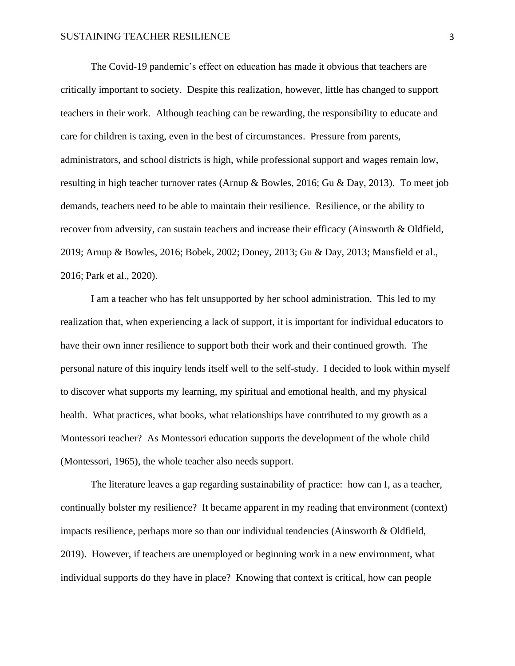The Covid-19 pandemic's effect on education has made it obvious that teachers are critically important to society. Despite this realization, however, little has changed to support teachers in their work. Although teaching can be rewarding, the responsibility to educate and care for children is taxing, even in the best of circumstances. Pressure from parents, administrators, and school districts is high, while professional support and wages remain low, resulting in high teacher turnover rates (Arnup & Bowles, 2016; Gu & Day, 2013). To meet job demands, teachers need to be able to maintain their resilience. Resilience, or the ability to recover from adversity, can sustain teachers and increase their efficacy (Ainsworth & Oldfield, 2019; Arnup & Bowles, 2016; Bobek, 2002; Doney, 2013; Gu & Day, 2013; Mansfield et al., 2016; Park et al., 2020).

I am a teacher who has felt unsupported by her school administration. This led to my realization that, when experiencing a lack of support, it is important for individual educators to have their own inner resilience to support both their work and their continued growth. The personal nature of this inquiry lends itself well to the self-study. I decided to look within myself to discover what supports my learning, my spiritual and emotional health, and my physical health. What practices, what books, what relationships have contributed to my growth as a Montessori teacher? As Montessori education supports the development of the whole child (Montessori, 1965), the whole teacher also needs support.

The literature leaves a gap regarding sustainability of practice: how can I, as a teacher, continually bolster my resilience? It became apparent in my reading that environment (context) impacts resilience, perhaps more so than our individual tendencies (Ainsworth & Oldfield, 2019). However, if teachers are unemployed or beginning work in a new environment, what individual supports do they have in place? Knowing that context is critical, how can people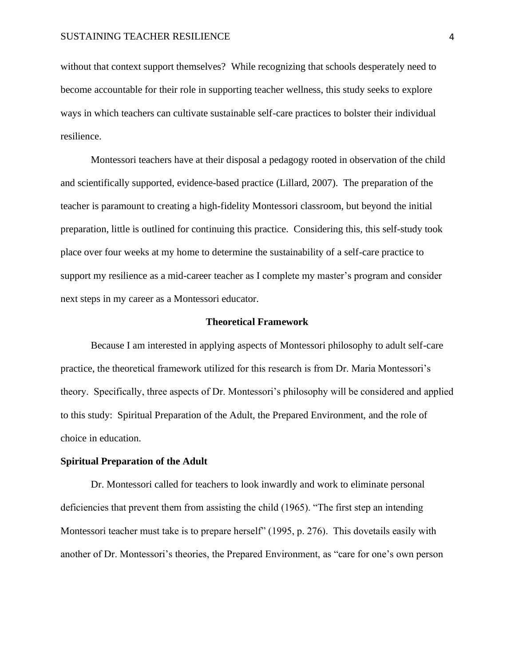without that context support themselves? While recognizing that schools desperately need to become accountable for their role in supporting teacher wellness, this study seeks to explore ways in which teachers can cultivate sustainable self-care practices to bolster their individual resilience.

Montessori teachers have at their disposal a pedagogy rooted in observation of the child and scientifically supported, evidence-based practice (Lillard, 2007). The preparation of the teacher is paramount to creating a high-fidelity Montessori classroom, but beyond the initial preparation, little is outlined for continuing this practice. Considering this, this self-study took place over four weeks at my home to determine the sustainability of a self-care practice to support my resilience as a mid-career teacher as I complete my master's program and consider next steps in my career as a Montessori educator.

#### **Theoretical Framework**

Because I am interested in applying aspects of Montessori philosophy to adult self-care practice, the theoretical framework utilized for this research is from Dr. Maria Montessori's theory. Specifically, three aspects of Dr. Montessori's philosophy will be considered and applied to this study: Spiritual Preparation of the Adult, the Prepared Environment, and the role of choice in education.

#### **Spiritual Preparation of the Adult**

Dr. Montessori called for teachers to look inwardly and work to eliminate personal deficiencies that prevent them from assisting the child (1965). "The first step an intending Montessori teacher must take is to prepare herself" (1995, p. 276). This dovetails easily with another of Dr. Montessori's theories, the Prepared Environment, as "care for one's own person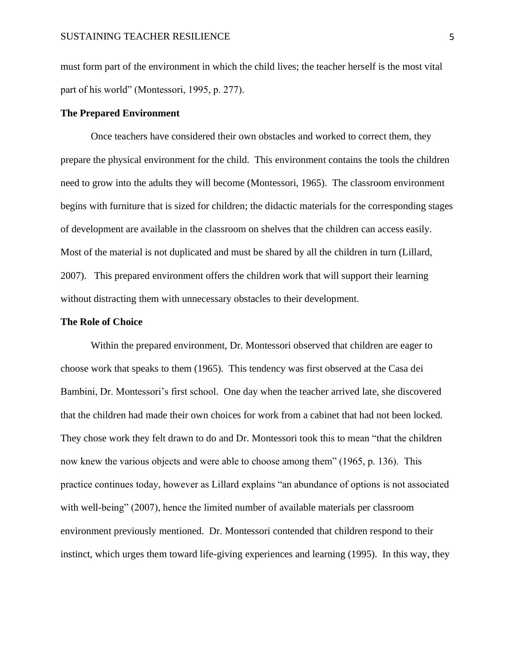must form part of the environment in which the child lives; the teacher herself is the most vital part of his world" (Montessori, 1995, p. 277).

#### **The Prepared Environment**

Once teachers have considered their own obstacles and worked to correct them, they prepare the physical environment for the child. This environment contains the tools the children need to grow into the adults they will become (Montessori, 1965). The classroom environment begins with furniture that is sized for children; the didactic materials for the corresponding stages of development are available in the classroom on shelves that the children can access easily. Most of the material is not duplicated and must be shared by all the children in turn (Lillard, 2007). This prepared environment offers the children work that will support their learning without distracting them with unnecessary obstacles to their development.

#### **The Role of Choice**

Within the prepared environment, Dr. Montessori observed that children are eager to choose work that speaks to them (1965). This tendency was first observed at the Casa dei Bambini, Dr. Montessori's first school. One day when the teacher arrived late, she discovered that the children had made their own choices for work from a cabinet that had not been locked. They chose work they felt drawn to do and Dr. Montessori took this to mean "that the children now knew the various objects and were able to choose among them" (1965, p. 136). This practice continues today, however as Lillard explains "an abundance of options is not associated with well-being" (2007), hence the limited number of available materials per classroom environment previously mentioned. Dr. Montessori contended that children respond to their instinct, which urges them toward life-giving experiences and learning (1995). In this way, they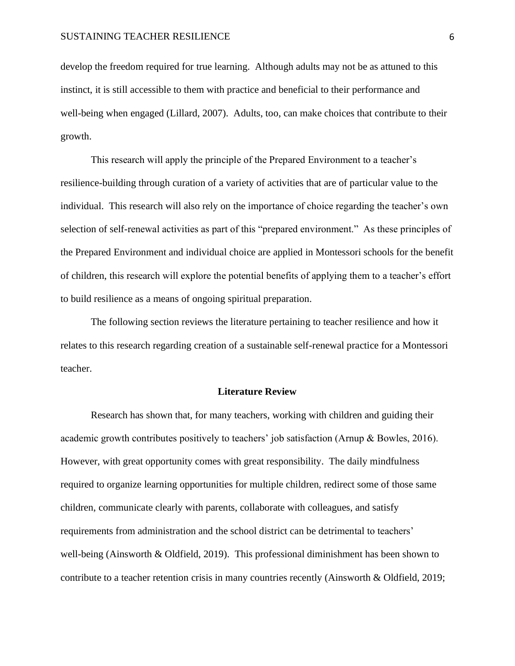develop the freedom required for true learning. Although adults may not be as attuned to this instinct, it is still accessible to them with practice and beneficial to their performance and well-being when engaged (Lillard, 2007). Adults, too, can make choices that contribute to their growth.

This research will apply the principle of the Prepared Environment to a teacher's resilience-building through curation of a variety of activities that are of particular value to the individual. This research will also rely on the importance of choice regarding the teacher's own selection of self-renewal activities as part of this "prepared environment." As these principles of the Prepared Environment and individual choice are applied in Montessori schools for the benefit of children, this research will explore the potential benefits of applying them to a teacher's effort to build resilience as a means of ongoing spiritual preparation.

The following section reviews the literature pertaining to teacher resilience and how it relates to this research regarding creation of a sustainable self-renewal practice for a Montessori teacher.

#### **Literature Review**

Research has shown that, for many teachers, working with children and guiding their academic growth contributes positively to teachers' job satisfaction (Arnup & Bowles, 2016). However, with great opportunity comes with great responsibility. The daily mindfulness required to organize learning opportunities for multiple children, redirect some of those same children, communicate clearly with parents, collaborate with colleagues, and satisfy requirements from administration and the school district can be detrimental to teachers' well-being (Ainsworth & Oldfield, 2019). This professional diminishment has been shown to contribute to a teacher retention crisis in many countries recently (Ainsworth & Oldfield, 2019;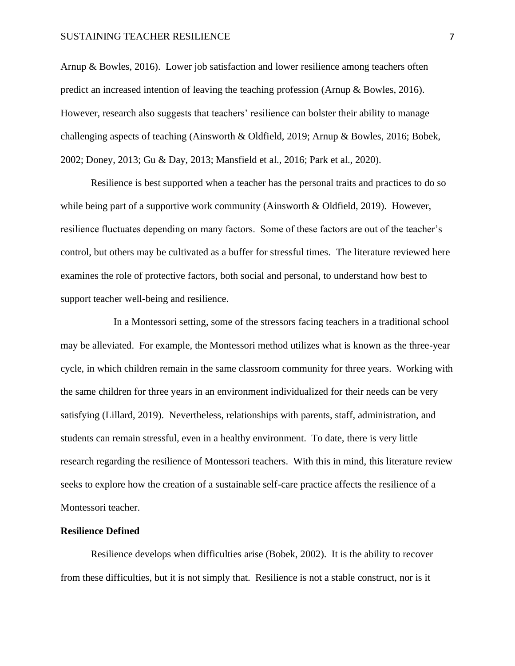Arnup & Bowles, 2016). Lower job satisfaction and lower resilience among teachers often predict an increased intention of leaving the teaching profession (Arnup & Bowles, 2016). However, research also suggests that teachers' resilience can bolster their ability to manage challenging aspects of teaching (Ainsworth & Oldfield, 2019; Arnup & Bowles, 2016; Bobek, 2002; Doney, 2013; Gu & Day, 2013; Mansfield et al., 2016; Park et al., 2020).

Resilience is best supported when a teacher has the personal traits and practices to do so while being part of a supportive work community (Ainsworth & Oldfield, 2019). However, resilience fluctuates depending on many factors. Some of these factors are out of the teacher's control, but others may be cultivated as a buffer for stressful times. The literature reviewed here examines the role of protective factors, both social and personal, to understand how best to support teacher well-being and resilience.

 In a Montessori setting, some of the stressors facing teachers in a traditional school may be alleviated. For example, the Montessori method utilizes what is known as the three-year cycle, in which children remain in the same classroom community for three years. Working with the same children for three years in an environment individualized for their needs can be very satisfying (Lillard, 2019). Nevertheless, relationships with parents, staff, administration, and students can remain stressful, even in a healthy environment. To date, there is very little research regarding the resilience of Montessori teachers. With this in mind, this literature review seeks to explore how the creation of a sustainable self-care practice affects the resilience of a Montessori teacher.

#### **Resilience Defined**

Resilience develops when difficulties arise (Bobek, 2002). It is the ability to recover from these difficulties, but it is not simply that. Resilience is not a stable construct, nor is it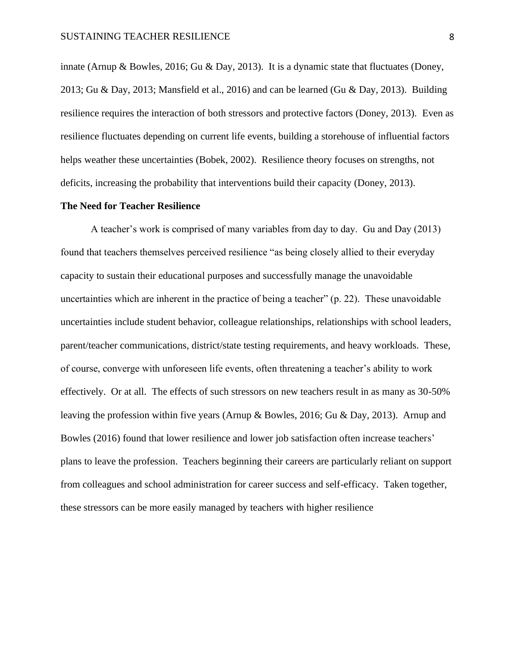innate (Arnup & Bowles, 2016; Gu & Day, 2013). It is a dynamic state that fluctuates (Doney, 2013; Gu & Day, 2013; Mansfield et al., 2016) and can be learned (Gu & Day, 2013). Building resilience requires the interaction of both stressors and protective factors (Doney, 2013). Even as resilience fluctuates depending on current life events, building a storehouse of influential factors helps weather these uncertainties (Bobek, 2002). Resilience theory focuses on strengths, not deficits, increasing the probability that interventions build their capacity (Doney, 2013).

#### **The Need for Teacher Resilience**

A teacher's work is comprised of many variables from day to day. Gu and Day (2013) found that teachers themselves perceived resilience "as being closely allied to their everyday capacity to sustain their educational purposes and successfully manage the unavoidable uncertainties which are inherent in the practice of being a teacher" (p. 22). These unavoidable uncertainties include student behavior, colleague relationships, relationships with school leaders, parent/teacher communications, district/state testing requirements, and heavy workloads. These, of course, converge with unforeseen life events, often threatening a teacher's ability to work effectively. Or at all. The effects of such stressors on new teachers result in as many as 30-50% leaving the profession within five years (Arnup & Bowles, 2016; Gu & Day, 2013). Arnup and Bowles (2016) found that lower resilience and lower job satisfaction often increase teachers' plans to leave the profession. Teachers beginning their careers are particularly reliant on support from colleagues and school administration for career success and self-efficacy. Taken together, these stressors can be more easily managed by teachers with higher resilience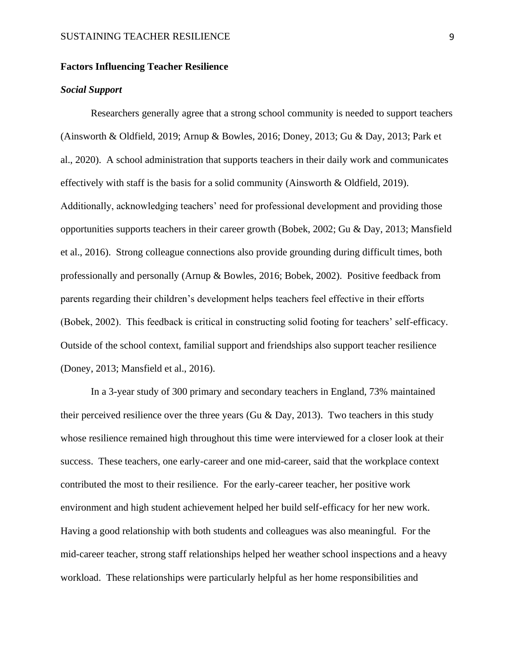#### **Factors Influencing Teacher Resilience**

#### *Social Support*

Researchers generally agree that a strong school community is needed to support teachers (Ainsworth & Oldfield, 2019; Arnup & Bowles, 2016; Doney, 2013; Gu & Day, 2013; Park et al., 2020). A school administration that supports teachers in their daily work and communicates effectively with staff is the basis for a solid community (Ainsworth & Oldfield, 2019). Additionally, acknowledging teachers' need for professional development and providing those opportunities supports teachers in their career growth (Bobek, 2002; Gu & Day, 2013; Mansfield et al., 2016). Strong colleague connections also provide grounding during difficult times, both professionally and personally (Arnup & Bowles, 2016; Bobek, 2002). Positive feedback from parents regarding their children's development helps teachers feel effective in their efforts (Bobek, 2002). This feedback is critical in constructing solid footing for teachers' self-efficacy. Outside of the school context, familial support and friendships also support teacher resilience (Doney, 2013; Mansfield et al., 2016).

In a 3-year study of 300 primary and secondary teachers in England, 73% maintained their perceived resilience over the three years (Gu & Day, 2013). Two teachers in this study whose resilience remained high throughout this time were interviewed for a closer look at their success. These teachers, one early-career and one mid-career, said that the workplace context contributed the most to their resilience. For the early-career teacher, her positive work environment and high student achievement helped her build self-efficacy for her new work. Having a good relationship with both students and colleagues was also meaningful. For the mid-career teacher, strong staff relationships helped her weather school inspections and a heavy workload. These relationships were particularly helpful as her home responsibilities and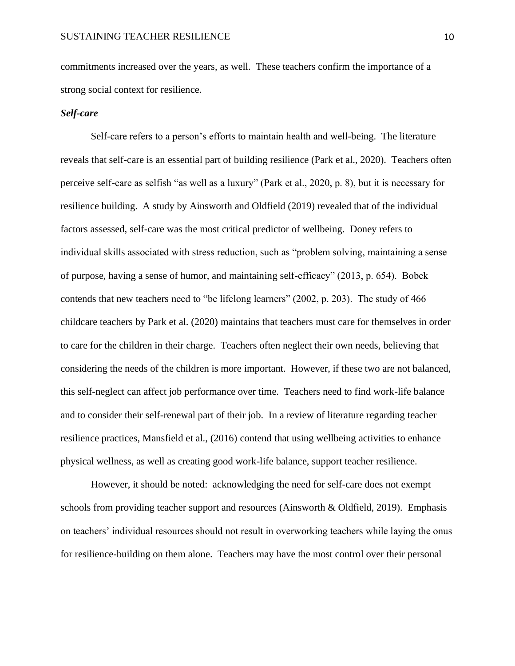commitments increased over the years, as well. These teachers confirm the importance of a strong social context for resilience.

#### *Self-care*

Self-care refers to a person's efforts to maintain health and well-being. The literature reveals that self-care is an essential part of building resilience (Park et al., 2020). Teachers often perceive self-care as selfish "as well as a luxury" (Park et al., 2020, p. 8), but it is necessary for resilience building. A study by Ainsworth and Oldfield (2019) revealed that of the individual factors assessed, self-care was the most critical predictor of wellbeing. Doney refers to individual skills associated with stress reduction, such as "problem solving, maintaining a sense of purpose, having a sense of humor, and maintaining self-efficacy" (2013, p. 654). Bobek contends that new teachers need to "be lifelong learners" (2002, p. 203). The study of 466 childcare teachers by Park et al. (2020) maintains that teachers must care for themselves in order to care for the children in their charge. Teachers often neglect their own needs, believing that considering the needs of the children is more important. However, if these two are not balanced, this self-neglect can affect job performance over time. Teachers need to find work-life balance and to consider their self-renewal part of their job. In a review of literature regarding teacher resilience practices, Mansfield et al., (2016) contend that using wellbeing activities to enhance physical wellness, as well as creating good work-life balance, support teacher resilience.

However, it should be noted: acknowledging the need for self-care does not exempt schools from providing teacher support and resources (Ainsworth & Oldfield, 2019). Emphasis on teachers' individual resources should not result in overworking teachers while laying the onus for resilience-building on them alone. Teachers may have the most control over their personal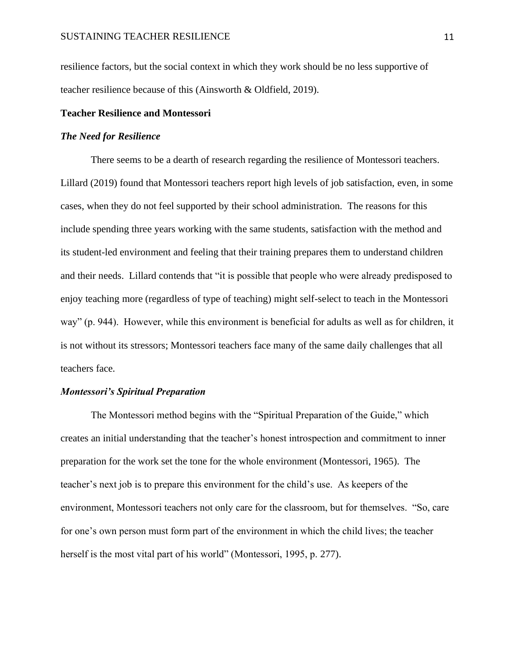resilience factors, but the social context in which they work should be no less supportive of teacher resilience because of this (Ainsworth & Oldfield, 2019).

#### **Teacher Resilience and Montessori**

#### *The Need for Resilience*

There seems to be a dearth of research regarding the resilience of Montessori teachers. Lillard (2019) found that Montessori teachers report high levels of job satisfaction, even, in some cases, when they do not feel supported by their school administration. The reasons for this include spending three years working with the same students, satisfaction with the method and its student-led environment and feeling that their training prepares them to understand children and their needs. Lillard contends that "it is possible that people who were already predisposed to enjoy teaching more (regardless of type of teaching) might self-select to teach in the Montessori way" (p. 944). However, while this environment is beneficial for adults as well as for children, it is not without its stressors; Montessori teachers face many of the same daily challenges that all teachers face.

#### *Montessori's Spiritual Preparation*

The Montessori method begins with the "Spiritual Preparation of the Guide," which creates an initial understanding that the teacher's honest introspection and commitment to inner preparation for the work set the tone for the whole environment (Montessori, 1965). The teacher's next job is to prepare this environment for the child's use. As keepers of the environment, Montessori teachers not only care for the classroom, but for themselves. "So, care for one's own person must form part of the environment in which the child lives; the teacher herself is the most vital part of his world" (Montessori, 1995, p. 277).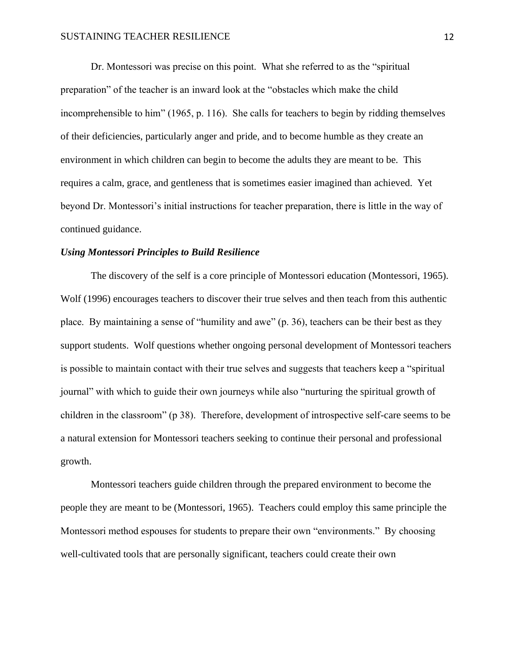Dr. Montessori was precise on this point. What she referred to as the "spiritual preparation" of the teacher is an inward look at the "obstacles which make the child incomprehensible to him" (1965, p. 116). She calls for teachers to begin by ridding themselves of their deficiencies, particularly anger and pride, and to become humble as they create an environment in which children can begin to become the adults they are meant to be. This requires a calm, grace, and gentleness that is sometimes easier imagined than achieved. Yet beyond Dr. Montessori's initial instructions for teacher preparation, there is little in the way of continued guidance.

#### *Using Montessori Principles to Build Resilience*

The discovery of the self is a core principle of Montessori education (Montessori, 1965). Wolf (1996) encourages teachers to discover their true selves and then teach from this authentic place. By maintaining a sense of "humility and awe" (p. 36), teachers can be their best as they support students. Wolf questions whether ongoing personal development of Montessori teachers is possible to maintain contact with their true selves and suggests that teachers keep a "spiritual journal" with which to guide their own journeys while also "nurturing the spiritual growth of children in the classroom" (p 38). Therefore, development of introspective self-care seems to be a natural extension for Montessori teachers seeking to continue their personal and professional growth.

Montessori teachers guide children through the prepared environment to become the people they are meant to be (Montessori, 1965). Teachers could employ this same principle the Montessori method espouses for students to prepare their own "environments." By choosing well-cultivated tools that are personally significant, teachers could create their own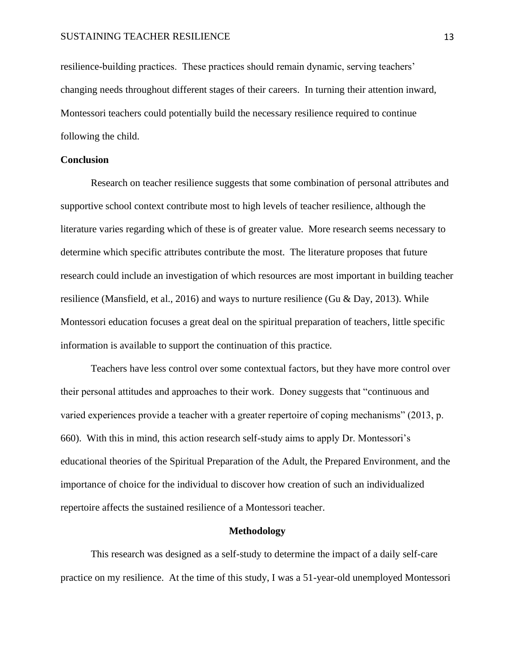resilience-building practices. These practices should remain dynamic, serving teachers' changing needs throughout different stages of their careers. In turning their attention inward, Montessori teachers could potentially build the necessary resilience required to continue following the child.

#### **Conclusion**

Research on teacher resilience suggests that some combination of personal attributes and supportive school context contribute most to high levels of teacher resilience, although the literature varies regarding which of these is of greater value. More research seems necessary to determine which specific attributes contribute the most. The literature proposes that future research could include an investigation of which resources are most important in building teacher resilience (Mansfield, et al., 2016) and ways to nurture resilience (Gu & Day, 2013). While Montessori education focuses a great deal on the spiritual preparation of teachers, little specific information is available to support the continuation of this practice.

Teachers have less control over some contextual factors, but they have more control over their personal attitudes and approaches to their work. Doney suggests that "continuous and varied experiences provide a teacher with a greater repertoire of coping mechanisms" (2013, p. 660). With this in mind, this action research self-study aims to apply Dr. Montessori's educational theories of the Spiritual Preparation of the Adult, the Prepared Environment, and the importance of choice for the individual to discover how creation of such an individualized repertoire affects the sustained resilience of a Montessori teacher.

#### **Methodology**

This research was designed as a self-study to determine the impact of a daily self-care practice on my resilience. At the time of this study, I was a 51-year-old unemployed Montessori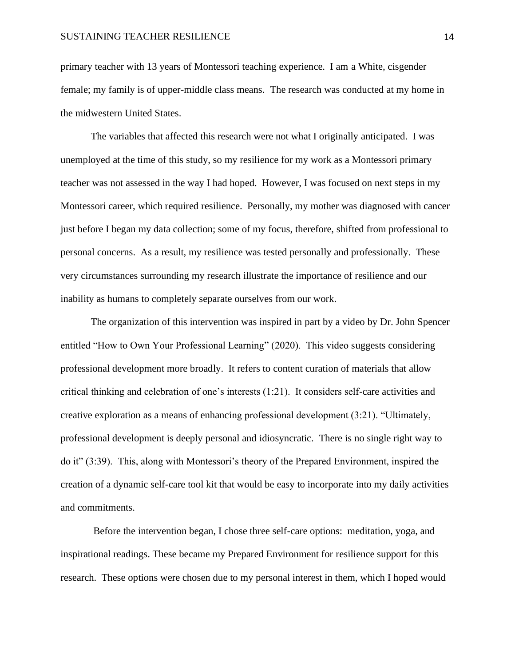primary teacher with 13 years of Montessori teaching experience. I am a White, cisgender female; my family is of upper-middle class means. The research was conducted at my home in the midwestern United States.

The variables that affected this research were not what I originally anticipated. I was unemployed at the time of this study, so my resilience for my work as a Montessori primary teacher was not assessed in the way I had hoped. However, I was focused on next steps in my Montessori career, which required resilience. Personally, my mother was diagnosed with cancer just before I began my data collection; some of my focus, therefore, shifted from professional to personal concerns. As a result, my resilience was tested personally and professionally. These very circumstances surrounding my research illustrate the importance of resilience and our inability as humans to completely separate ourselves from our work.

The organization of this intervention was inspired in part by a video by Dr. John Spencer entitled "How to Own Your Professional Learning" (2020). This video suggests considering professional development more broadly. It refers to content curation of materials that allow critical thinking and celebration of one's interests (1:21). It considers self-care activities and creative exploration as a means of enhancing professional development (3:21). "Ultimately, professional development is deeply personal and idiosyncratic. There is no single right way to do it" (3:39). This, along with Montessori's theory of the Prepared Environment, inspired the creation of a dynamic self-care tool kit that would be easy to incorporate into my daily activities and commitments.

Before the intervention began, I chose three self-care options: meditation, yoga, and inspirational readings. These became my Prepared Environment for resilience support for this research. These options were chosen due to my personal interest in them, which I hoped would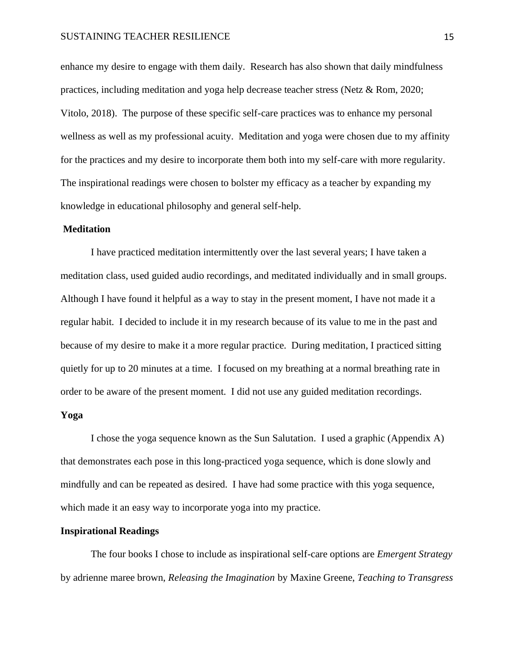enhance my desire to engage with them daily. Research has also shown that daily mindfulness practices, including meditation and yoga help decrease teacher stress (Netz & Rom, 2020; Vitolo, 2018). The purpose of these specific self-care practices was to enhance my personal wellness as well as my professional acuity. Meditation and yoga were chosen due to my affinity for the practices and my desire to incorporate them both into my self-care with more regularity. The inspirational readings were chosen to bolster my efficacy as a teacher by expanding my knowledge in educational philosophy and general self-help.

#### **Meditation**

I have practiced meditation intermittently over the last several years; I have taken a meditation class, used guided audio recordings, and meditated individually and in small groups. Although I have found it helpful as a way to stay in the present moment, I have not made it a regular habit. I decided to include it in my research because of its value to me in the past and because of my desire to make it a more regular practice. During meditation, I practiced sitting quietly for up to 20 minutes at a time. I focused on my breathing at a normal breathing rate in order to be aware of the present moment. I did not use any guided meditation recordings.

#### **Yoga**

I chose the yoga sequence known as the Sun Salutation. I used a graphic (Appendix A) that demonstrates each pose in this long-practiced yoga sequence, which is done slowly and mindfully and can be repeated as desired. I have had some practice with this yoga sequence, which made it an easy way to incorporate yoga into my practice.

#### **Inspirational Readings**

The four books I chose to include as inspirational self-care options are *Emergent Strategy* by adrienne maree brown, *Releasing the Imagination* by Maxine Greene, *Teaching to Transgress*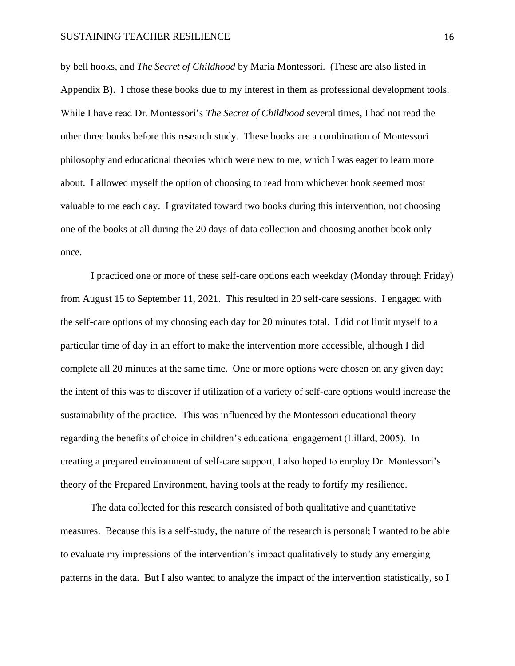by bell hooks, and *The Secret of Childhood* by Maria Montessori. (These are also listed in Appendix B). I chose these books due to my interest in them as professional development tools. While I have read Dr. Montessori's *The Secret of Childhood* several times, I had not read the other three books before this research study. These books are a combination of Montessori philosophy and educational theories which were new to me, which I was eager to learn more about. I allowed myself the option of choosing to read from whichever book seemed most valuable to me each day. I gravitated toward two books during this intervention, not choosing one of the books at all during the 20 days of data collection and choosing another book only once.

I practiced one or more of these self-care options each weekday (Monday through Friday) from August 15 to September 11, 2021. This resulted in 20 self-care sessions. I engaged with the self-care options of my choosing each day for 20 minutes total. I did not limit myself to a particular time of day in an effort to make the intervention more accessible, although I did complete all 20 minutes at the same time. One or more options were chosen on any given day; the intent of this was to discover if utilization of a variety of self-care options would increase the sustainability of the practice. This was influenced by the Montessori educational theory regarding the benefits of choice in children's educational engagement (Lillard, 2005). In creating a prepared environment of self-care support, I also hoped to employ Dr. Montessori's theory of the Prepared Environment, having tools at the ready to fortify my resilience.

The data collected for this research consisted of both qualitative and quantitative measures. Because this is a self-study, the nature of the research is personal; I wanted to be able to evaluate my impressions of the intervention's impact qualitatively to study any emerging patterns in the data. But I also wanted to analyze the impact of the intervention statistically, so I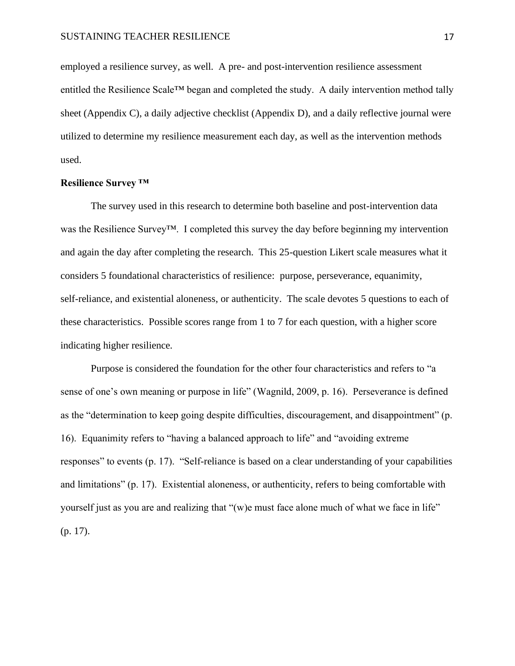employed a resilience survey, as well. A pre- and post-intervention resilience assessment entitled the Resilience Scale™ began and completed the study. A daily intervention method tally sheet (Appendix C), a daily adjective checklist (Appendix D), and a daily reflective journal were utilized to determine my resilience measurement each day, as well as the intervention methods used.

#### **Resilience Survey ™**

The survey used in this research to determine both baseline and post-intervention data was the Resilience Survey™. I completed this survey the day before beginning my intervention and again the day after completing the research. This 25-question Likert scale measures what it considers 5 foundational characteristics of resilience: purpose, perseverance, equanimity, self-reliance, and existential aloneness, or authenticity. The scale devotes 5 questions to each of these characteristics. Possible scores range from 1 to 7 for each question, with a higher score indicating higher resilience.

Purpose is considered the foundation for the other four characteristics and refers to "a sense of one's own meaning or purpose in life" (Wagnild, 2009, p. 16). Perseverance is defined as the "determination to keep going despite difficulties, discouragement, and disappointment" (p. 16). Equanimity refers to "having a balanced approach to life" and "avoiding extreme responses" to events (p. 17). "Self-reliance is based on a clear understanding of your capabilities and limitations" (p. 17). Existential aloneness, or authenticity, refers to being comfortable with yourself just as you are and realizing that "(w)e must face alone much of what we face in life" (p. 17).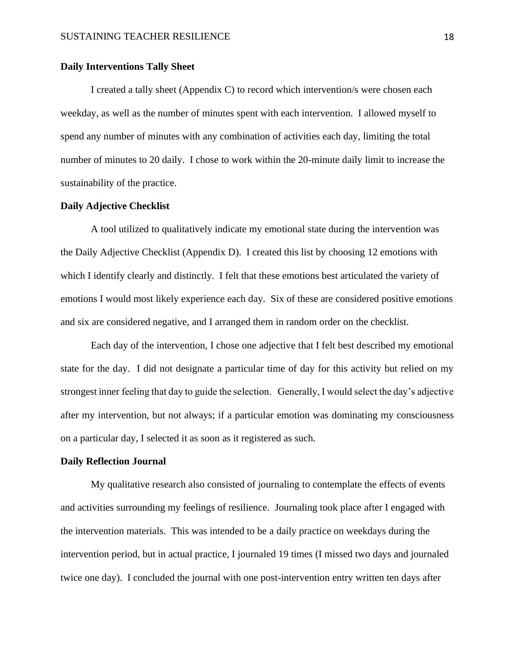#### **Daily Interventions Tally Sheet**

I created a tally sheet (Appendix C) to record which intervention/s were chosen each weekday, as well as the number of minutes spent with each intervention. I allowed myself to spend any number of minutes with any combination of activities each day, limiting the total number of minutes to 20 daily. I chose to work within the 20-minute daily limit to increase the sustainability of the practice.

#### **Daily Adjective Checklist**

A tool utilized to qualitatively indicate my emotional state during the intervention was the Daily Adjective Checklist (Appendix D). I created this list by choosing 12 emotions with which I identify clearly and distinctly. I felt that these emotions best articulated the variety of emotions I would most likely experience each day. Six of these are considered positive emotions and six are considered negative, and I arranged them in random order on the checklist.

Each day of the intervention, I chose one adjective that I felt best described my emotional state for the day. I did not designate a particular time of day for this activity but relied on my strongest inner feeling that day to guide the selection. Generally, I would select the day's adjective after my intervention, but not always; if a particular emotion was dominating my consciousness on a particular day, I selected it as soon as it registered as such.

#### **Daily Reflection Journal**

My qualitative research also consisted of journaling to contemplate the effects of events and activities surrounding my feelings of resilience. Journaling took place after I engaged with the intervention materials. This was intended to be a daily practice on weekdays during the intervention period, but in actual practice, I journaled 19 times (I missed two days and journaled twice one day). I concluded the journal with one post-intervention entry written ten days after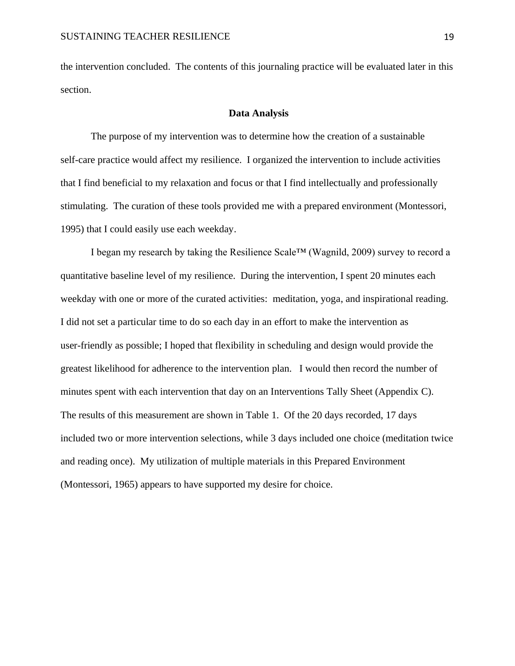the intervention concluded. The contents of this journaling practice will be evaluated later in this section.

#### **Data Analysis**

The purpose of my intervention was to determine how the creation of a sustainable self-care practice would affect my resilience. I organized the intervention to include activities that I find beneficial to my relaxation and focus or that I find intellectually and professionally stimulating. The curation of these tools provided me with a prepared environment (Montessori, 1995) that I could easily use each weekday.

I began my research by taking the Resilience Scale™ (Wagnild, 2009) survey to record a quantitative baseline level of my resilience. During the intervention, I spent 20 minutes each weekday with one or more of the curated activities: meditation, yoga, and inspirational reading. I did not set a particular time to do so each day in an effort to make the intervention as user-friendly as possible; I hoped that flexibility in scheduling and design would provide the greatest likelihood for adherence to the intervention plan. I would then record the number of minutes spent with each intervention that day on an Interventions Tally Sheet (Appendix C). The results of this measurement are shown in Table 1. Of the 20 days recorded, 17 days included two or more intervention selections, while 3 days included one choice (meditation twice and reading once). My utilization of multiple materials in this Prepared Environment (Montessori, 1965) appears to have supported my desire for choice.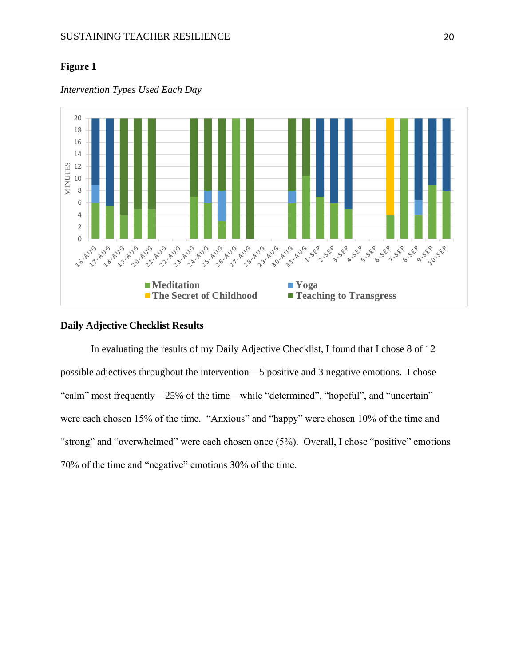### **Figure 1**



*Intervention Types Used Each Day*

#### **Daily Adjective Checklist Results**

In evaluating the results of my Daily Adjective Checklist, I found that I chose 8 of 12 possible adjectives throughout the intervention—5 positive and 3 negative emotions. I chose "calm" most frequently—25% of the time—while "determined", "hopeful", and "uncertain" were each chosen 15% of the time. "Anxious" and "happy" were chosen 10% of the time and "strong" and "overwhelmed" were each chosen once (5%). Overall, I chose "positive" emotions 70% of the time and "negative" emotions 30% of the time.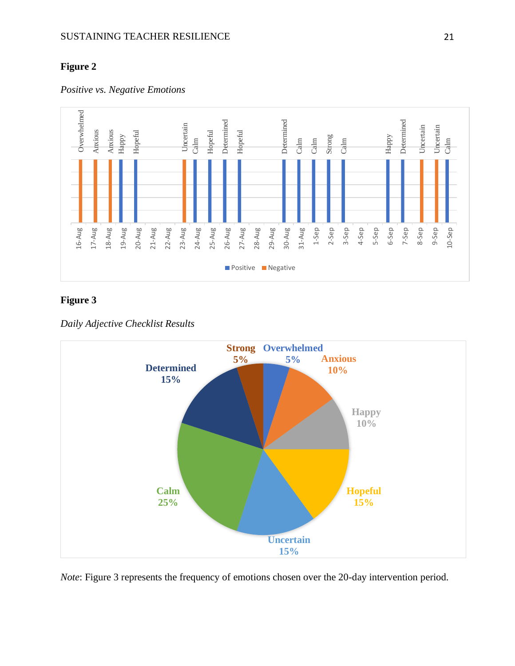### **Figure 2**

*Positive vs. Negative Emotions*



### **Figure 3**



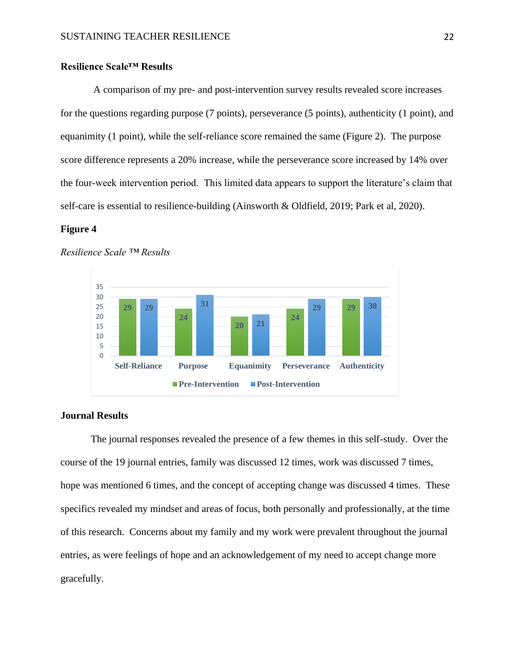### **Resilience Scale™ Results**

A comparison of my pre- and post-intervention survey results revealed score increases for the questions regarding purpose (7 points), perseverance (5 points), authenticity (1 point), and equanimity (1 point), while the self-reliance score remained the same (Figure 2). The purpose score difference represents a 20% increase, while the perseverance score increased by 14% over the four-week intervention period. This limited data appears to support the literature's claim that self-care is essential to resilience-building (Ainsworth & Oldfield, 2019; Park et al, 2020).

#### **Figure 4**



#### *Resilience Scale ™ Results*

#### **Journal Results**

The journal responses revealed the presence of a few themes in this self-study. Over the course of the 19 journal entries, family was discussed 12 times, work was discussed 7 times, hope was mentioned 6 times, and the concept of accepting change was discussed 4 times. These specifics revealed my mindset and areas of focus, both personally and professionally, at the time of this research. Concerns about my family and my work were prevalent throughout the journal entries, as were feelings of hope and an acknowledgement of my need to accept change more gracefully.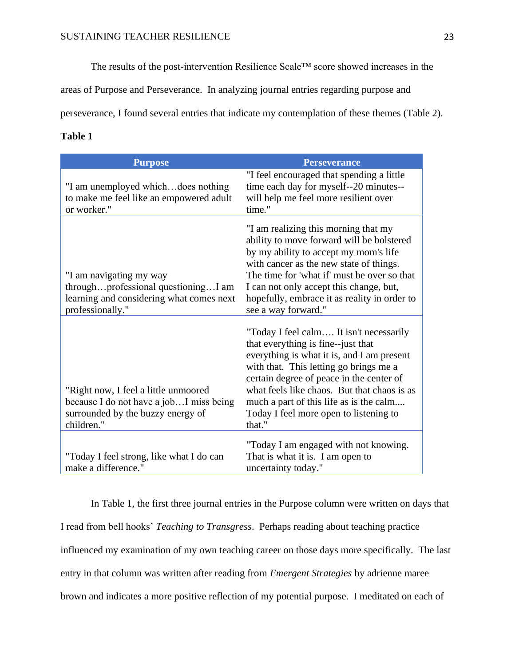The results of the post-intervention Resilience Scale™ score showed increases in the

areas of Purpose and Perseverance. In analyzing journal entries regarding purpose and

perseverance, I found several entries that indicate my contemplation of these themes (Table 2).

### **Table 1**

| <b>Purpose</b>                                                                                                                      | <b>Perseverance</b>                                                                                                                                                                                                                                                                                                                                             |
|-------------------------------------------------------------------------------------------------------------------------------------|-----------------------------------------------------------------------------------------------------------------------------------------------------------------------------------------------------------------------------------------------------------------------------------------------------------------------------------------------------------------|
| "I am unemployed whichdoes nothing<br>to make me feel like an empowered adult<br>or worker."                                        | "I feel encouraged that spending a little<br>time each day for myself--20 minutes--<br>will help me feel more resilient over<br>time."                                                                                                                                                                                                                          |
| "I am navigating my way<br>throughprofessional questioningI am<br>learning and considering what comes next<br>professionally."      | "I am realizing this morning that my<br>ability to move forward will be bolstered<br>by my ability to accept my mom's life<br>with cancer as the new state of things.<br>The time for 'what if' must be over so that<br>I can not only accept this change, but,<br>hopefully, embrace it as reality in order to<br>see a way forward."                          |
| "Right now, I feel a little unmoored<br>because I do not have a job I miss being<br>surrounded by the buzzy energy of<br>children." | "Today I feel calm It isn't necessarily<br>that everything is fine--just that<br>everything is what it is, and I am present<br>with that. This letting go brings me a<br>certain degree of peace in the center of<br>what feels like chaos. But that chaos is as<br>much a part of this life as is the calm<br>Today I feel more open to listening to<br>that." |
| "Today I feel strong, like what I do can<br>make a difference."                                                                     | "Today I am engaged with not knowing.<br>That is what it is. I am open to<br>uncertainty today."                                                                                                                                                                                                                                                                |

In Table 1, the first three journal entries in the Purpose column were written on days that I read from bell hooks' *Teaching to Transgress*. Perhaps reading about teaching practice influenced my examination of my own teaching career on those days more specifically. The last entry in that column was written after reading from *Emergent Strategies* by adrienne maree brown and indicates a more positive reflection of my potential purpose. I meditated on each of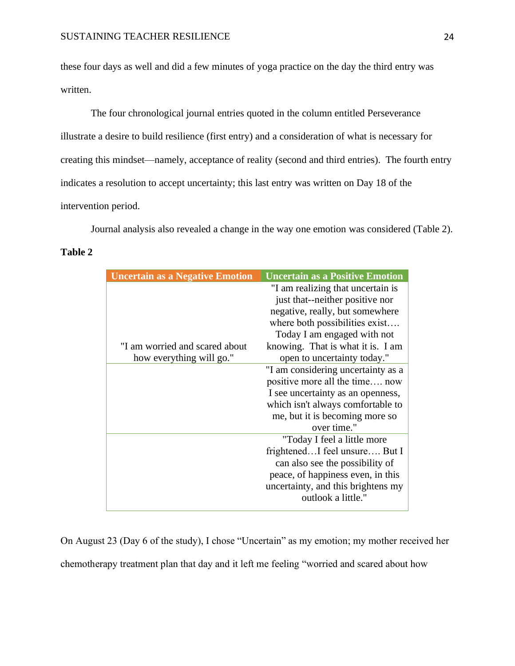these four days as well and did a few minutes of yoga practice on the day the third entry was written.

The four chronological journal entries quoted in the column entitled Perseverance illustrate a desire to build resilience (first entry) and a consideration of what is necessary for creating this mindset—namely, acceptance of reality (second and third entries). The fourth entry indicates a resolution to accept uncertainty; this last entry was written on Day 18 of the intervention period.

Journal analysis also revealed a change in the way one emotion was considered (Table 2).

#### **Table 2**

| <b>Uncertain as a Positive Emotion</b> |
|----------------------------------------|
| "I am realizing that uncertain is      |
| just that--neither positive nor        |
| negative, really, but somewhere        |
| where both possibilities exist         |
| Today I am engaged with not            |
| knowing. That is what it is. I am      |
| open to uncertainty today."            |
| "I am considering uncertainty as a     |
| positive more all the time now         |
| I see uncertainty as an openness,      |
| which isn't always comfortable to      |
| me, but it is becoming more so         |
| over time."                            |
| "Today I feel a little more            |
| frightenedI feel unsure But I          |
| can also see the possibility of        |
| peace, of happiness even, in this      |
| uncertainty, and this brightens my     |
| outlook a little."                     |
|                                        |

On August 23 (Day 6 of the study), I chose "Uncertain" as my emotion; my mother received her chemotherapy treatment plan that day and it left me feeling "worried and scared about how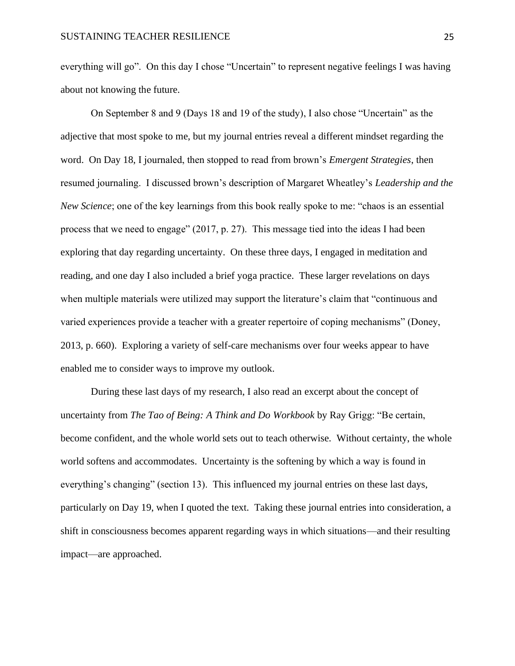everything will go". On this day I chose "Uncertain" to represent negative feelings I was having about not knowing the future.

On September 8 and 9 (Days 18 and 19 of the study), I also chose "Uncertain" as the adjective that most spoke to me, but my journal entries reveal a different mindset regarding the word. On Day 18, I journaled, then stopped to read from brown's *Emergent Strategies*, then resumed journaling. I discussed brown's description of Margaret Wheatley's *Leadership and the New Science*; one of the key learnings from this book really spoke to me: "chaos is an essential process that we need to engage" (2017, p. 27). This message tied into the ideas I had been exploring that day regarding uncertainty. On these three days, I engaged in meditation and reading, and one day I also included a brief yoga practice. These larger revelations on days when multiple materials were utilized may support the literature's claim that "continuous and varied experiences provide a teacher with a greater repertoire of coping mechanisms" (Doney, 2013, p. 660). Exploring a variety of self-care mechanisms over four weeks appear to have enabled me to consider ways to improve my outlook.

During these last days of my research, I also read an excerpt about the concept of uncertainty from *The Tao of Being: A Think and Do Workbook* by Ray Grigg: "Be certain, become confident, and the whole world sets out to teach otherwise. Without certainty, the whole world softens and accommodates. Uncertainty is the softening by which a way is found in everything's changing" (section 13). This influenced my journal entries on these last days, particularly on Day 19, when I quoted the text. Taking these journal entries into consideration, a shift in consciousness becomes apparent regarding ways in which situations—and their resulting impact—are approached.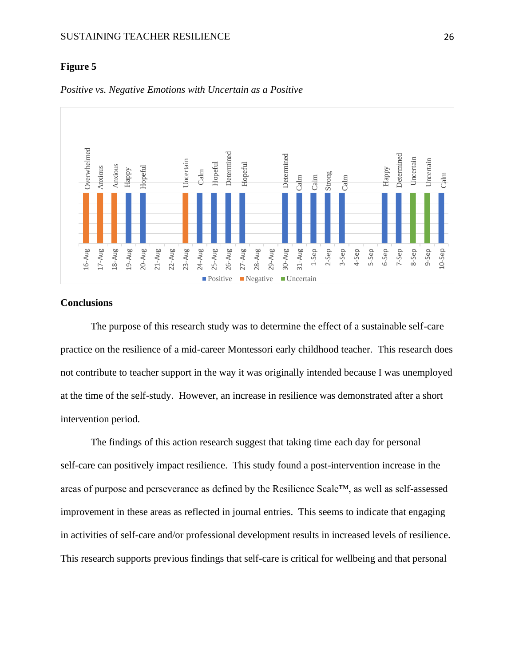#### **Figure 5**



*Positive vs. Negative Emotions with Uncertain as a Positive*

### **Conclusions**

The purpose of this research study was to determine the effect of a sustainable self-care practice on the resilience of a mid-career Montessori early childhood teacher. This research does not contribute to teacher support in the way it was originally intended because I was unemployed at the time of the self-study. However, an increase in resilience was demonstrated after a short intervention period.

The findings of this action research suggest that taking time each day for personal self-care can positively impact resilience. This study found a post-intervention increase in the areas of purpose and perseverance as defined by the Resilience Scale™, as well as self-assessed improvement in these areas as reflected in journal entries. This seems to indicate that engaging in activities of self-care and/or professional development results in increased levels of resilience.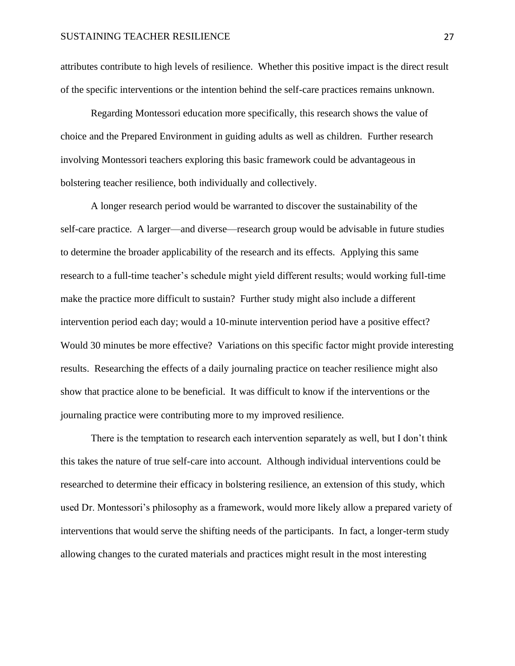attributes contribute to high levels of resilience. Whether this positive impact is the direct result of the specific interventions or the intention behind the self-care practices remains unknown.

Regarding Montessori education more specifically, this research shows the value of choice and the Prepared Environment in guiding adults as well as children. Further research involving Montessori teachers exploring this basic framework could be advantageous in bolstering teacher resilience, both individually and collectively.

A longer research period would be warranted to discover the sustainability of the self-care practice. A larger—and diverse—research group would be advisable in future studies to determine the broader applicability of the research and its effects. Applying this same research to a full-time teacher's schedule might yield different results; would working full-time make the practice more difficult to sustain? Further study might also include a different intervention period each day; would a 10-minute intervention period have a positive effect? Would 30 minutes be more effective? Variations on this specific factor might provide interesting results. Researching the effects of a daily journaling practice on teacher resilience might also show that practice alone to be beneficial. It was difficult to know if the interventions or the journaling practice were contributing more to my improved resilience.

There is the temptation to research each intervention separately as well, but I don't think this takes the nature of true self-care into account. Although individual interventions could be researched to determine their efficacy in bolstering resilience, an extension of this study, which used Dr. Montessori's philosophy as a framework, would more likely allow a prepared variety of interventions that would serve the shifting needs of the participants. In fact, a longer-term study allowing changes to the curated materials and practices might result in the most interesting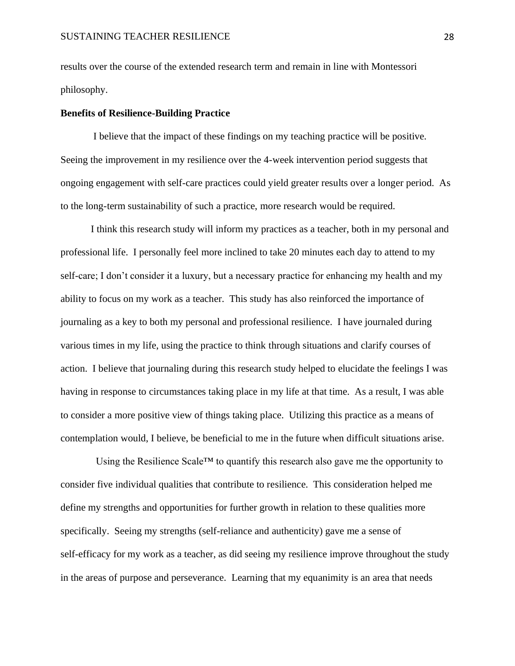results over the course of the extended research term and remain in line with Montessori philosophy.

#### **Benefits of Resilience-Building Practice**

I believe that the impact of these findings on my teaching practice will be positive. Seeing the improvement in my resilience over the 4-week intervention period suggests that ongoing engagement with self-care practices could yield greater results over a longer period. As to the long-term sustainability of such a practice, more research would be required.

I think this research study will inform my practices as a teacher, both in my personal and professional life. I personally feel more inclined to take 20 minutes each day to attend to my self-care; I don't consider it a luxury, but a necessary practice for enhancing my health and my ability to focus on my work as a teacher. This study has also reinforced the importance of journaling as a key to both my personal and professional resilience. I have journaled during various times in my life, using the practice to think through situations and clarify courses of action. I believe that journaling during this research study helped to elucidate the feelings I was having in response to circumstances taking place in my life at that time. As a result, I was able to consider a more positive view of things taking place. Utilizing this practice as a means of contemplation would, I believe, be beneficial to me in the future when difficult situations arise.

Using the Resilience Scale™ to quantify this research also gave me the opportunity to consider five individual qualities that contribute to resilience. This consideration helped me define my strengths and opportunities for further growth in relation to these qualities more specifically. Seeing my strengths (self-reliance and authenticity) gave me a sense of self-efficacy for my work as a teacher, as did seeing my resilience improve throughout the study in the areas of purpose and perseverance. Learning that my equanimity is an area that needs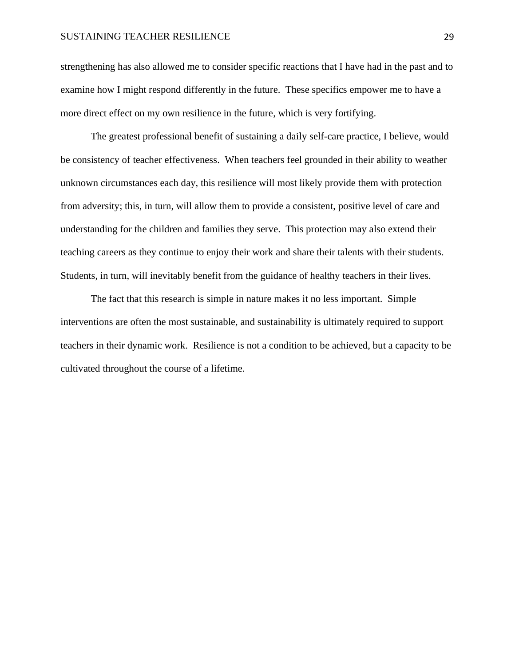#### SUSTAINING TEACHER RESILIENCE 29

strengthening has also allowed me to consider specific reactions that I have had in the past and to examine how I might respond differently in the future. These specifics empower me to have a more direct effect on my own resilience in the future, which is very fortifying.

The greatest professional benefit of sustaining a daily self-care practice, I believe, would be consistency of teacher effectiveness. When teachers feel grounded in their ability to weather unknown circumstances each day, this resilience will most likely provide them with protection from adversity; this, in turn, will allow them to provide a consistent, positive level of care and understanding for the children and families they serve. This protection may also extend their teaching careers as they continue to enjoy their work and share their talents with their students. Students, in turn, will inevitably benefit from the guidance of healthy teachers in their lives.

The fact that this research is simple in nature makes it no less important. Simple interventions are often the most sustainable, and sustainability is ultimately required to support teachers in their dynamic work. Resilience is not a condition to be achieved, but a capacity to be cultivated throughout the course of a lifetime.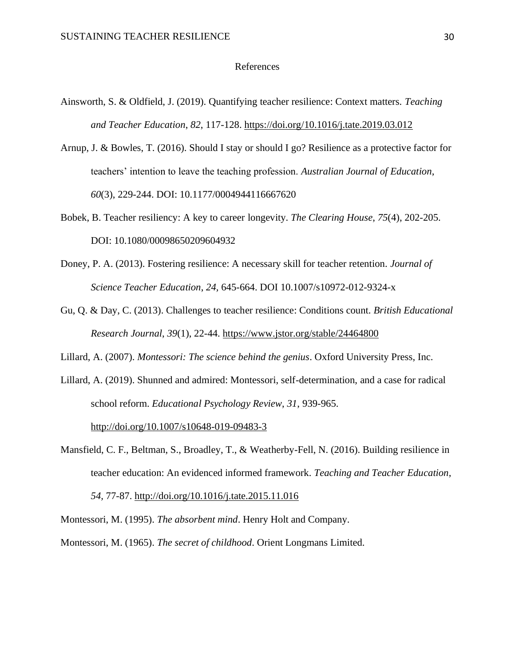#### References

- Ainsworth, S. & Oldfield, J. (2019). Quantifying teacher resilience: Context matters. *Teaching and Teacher Education*, *82*, 117-128.<https://doi.org/10.1016/j.tate.2019.03.012>
- Arnup, J. & Bowles, T. (2016). Should I stay or should I go? Resilience as a protective factor for teachers' intention to leave the teaching profession. *Australian Journal of Education*, *60*(3), 229-244. DOI: 10.1177/0004944116667620
- Bobek, B. Teacher resiliency: A key to career longevity. *The Clearing House*, *75*(4), 202-205. DOI: 10.1080/00098650209604932
- Doney, P. A. (2013). Fostering resilience: A necessary skill for teacher retention. *Journal of Science Teacher Education*, *24,* 645-664. DOI 10.1007/s10972-012-9324-x
- Gu, Q. & Day, C. (2013). Challenges to teacher resilience: Conditions count. *British Educational Research Journal*, *39*(1), 22-44.<https://www.jstor.org/stable/24464800>

Lillard, A. (2007). *Montessori: The science behind the genius*. Oxford University Press, Inc.

Lillard, A. (2019). Shunned and admired: Montessori, self-determination, and a case for radical school reform. *Educational Psychology Review*, *31*, 939-965. <http://doi.org/10.1007/s10648-019-09483-3>

Mansfield, C. F., Beltman, S., Broadley, T., & Weatherby-Fell, N. (2016). Building resilience in teacher education: An evidenced informed framework. *Teaching and Teacher Education*,

*54,* 77-87.<http://doi.org/10.1016/j.tate.2015.11.016>

Montessori, M. (1995). *The absorbent mind*. Henry Holt and Company.

Montessori, M. (1965). *The secret of childhood*. Orient Longmans Limited.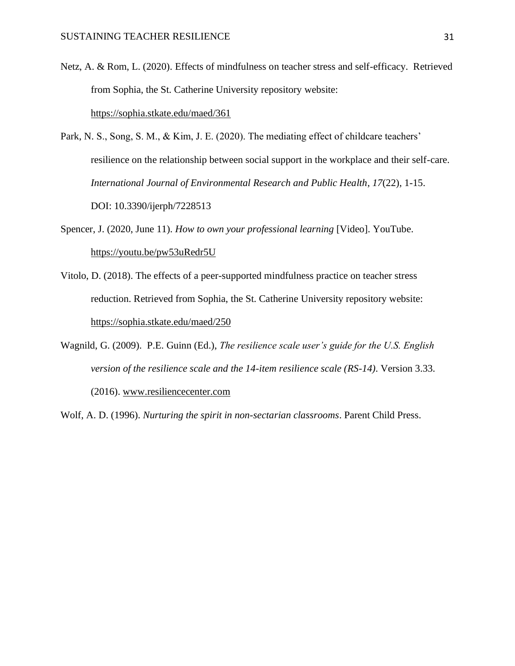- Netz, A. & Rom, L. (2020). Effects of mindfulness on teacher stress and self-efficacy. Retrieved from Sophia, the St. Catherine University repository website: <https://sophia.stkate.edu/maed/361>
- Park, N. S., Song, S. M., & Kim, J. E. (2020). The mediating effect of childcare teachers' resilience on the relationship between social support in the workplace and their self-care. *International Journal of Environmental Research and Public Health*, *17*(22), 1-15. DOI: 10.3390/ijerph/7228513
- Spencer, J. (2020, June 11). *How to own your professional learning* [Video]. YouTube. <https://youtu.be/pw53uRedr5U>
- Vitolo, D. (2018). The effects of a peer-supported mindfulness practice on teacher stress reduction. Retrieved from Sophia, the St. Catherine University repository website: <https://sophia.stkate.edu/maed/250>
- Wagnild, G. (2009). P.E. Guinn (Ed.), *The resilience scale user's guide for the U.S. English version of the resilience scale and the 14-item resilience scale (RS-14)*. Version 3.33. (2016). [www.resiliencecenter.com](http://www.resiliencecenter.com/)

Wolf, A. D. (1996). *Nurturing the spirit in non-sectarian classrooms*. Parent Child Press.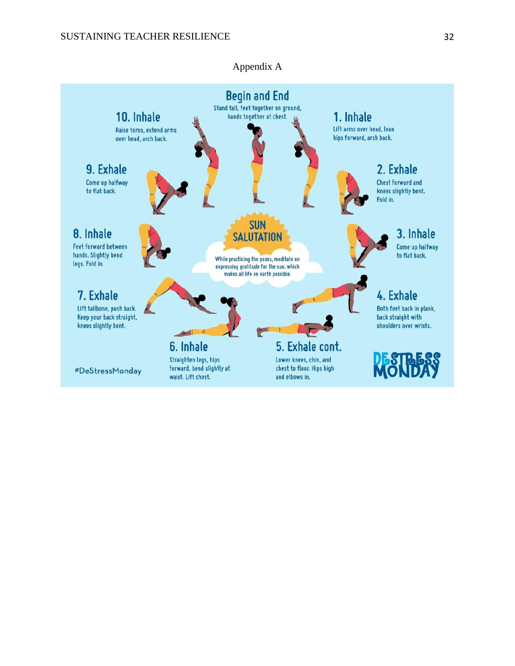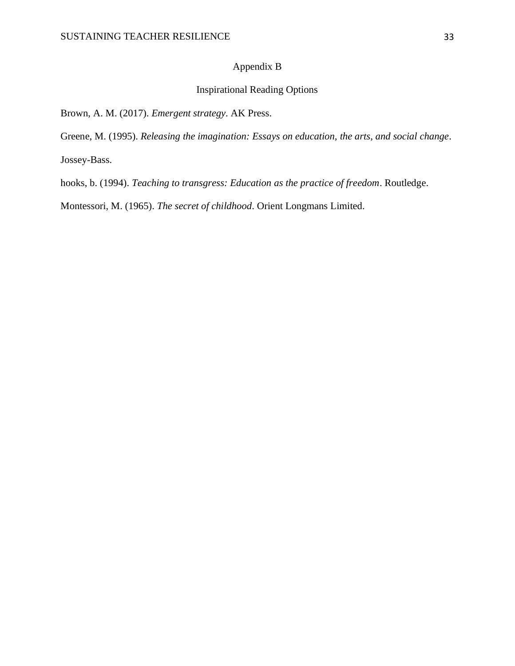### Appendix B

## Inspirational Reading Options

Brown, A. M. (2017). *Emergent strategy*. AK Press.

Greene, M. (1995). *Releasing the imagination: Essays on education, the arts, and social change*.

Jossey-Bass.

hooks, b. (1994). *Teaching to transgress: Education as the practice of freedom*. Routledge.

Montessori, M. (1965). *The secret of childhood*. Orient Longmans Limited.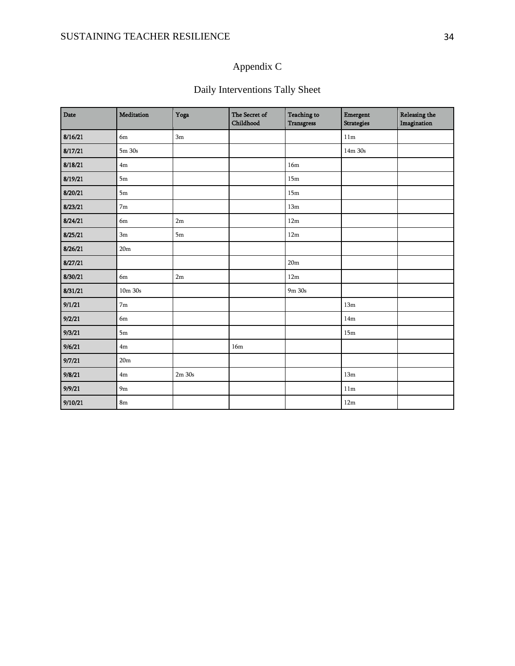## Appendix C

## Daily Interventions Tally Sheet

| Date    | Meditation      | Yoga       | The Secret of<br>Childhood | <b>Teaching to</b><br><b>Transgress</b> | Emergent<br><b>Strategies</b> | <b>Releasing the</b><br>Imagination |
|---------|-----------------|------------|----------------------------|-----------------------------------------|-------------------------------|-------------------------------------|
| 8/16/21 | 6m              | 3m         |                            |                                         | 11m                           |                                     |
| 8/17/21 | 5m 30s          |            |                            |                                         | 14m 30s                       |                                     |
| 8/18/21 | 4m              |            |                            | 16m                                     |                               |                                     |
| 8/19/21 | 5m              |            |                            | 15m                                     |                               |                                     |
| 8/20/21 | 5m              |            |                            | 15m                                     |                               |                                     |
| 8/23/21 | 7 <sub>m</sub>  |            |                            | 13m                                     |                               |                                     |
| 8/24/21 | 6m              | 2m         |                            | 12m                                     |                               |                                     |
| 8/25/21 | 3m              | 5m         |                            | 12m                                     |                               |                                     |
| 8/26/21 | 20 <sub>m</sub> |            |                            |                                         |                               |                                     |
| 8/27/21 |                 |            |                            | 20m                                     |                               |                                     |
| 8/30/21 | 6m              | 2m         |                            | 12m                                     |                               |                                     |
| 8/31/21 | $10m$ $30s$     |            |                            | 9m 30s                                  |                               |                                     |
| 9/1/21  | 7 <sub>m</sub>  |            |                            |                                         | 13m                           |                                     |
| 9/2/21  | 6m              |            |                            |                                         | 14m                           |                                     |
| 9/3/21  | 5m              |            |                            |                                         | 15m                           |                                     |
| 9/6/21  | 4m              |            | 16m                        |                                         |                               |                                     |
| 9/7/21  | 20 <sub>m</sub> |            |                            |                                         |                               |                                     |
| 9/8/21  | 4m              | $2m$ $30s$ |                            |                                         | 13m                           |                                     |
| 9/9/21  | 9 <sub>m</sub>  |            |                            |                                         | 11m                           |                                     |
| 9/10/21 | 8 <sub>m</sub>  |            |                            |                                         | 12m                           |                                     |